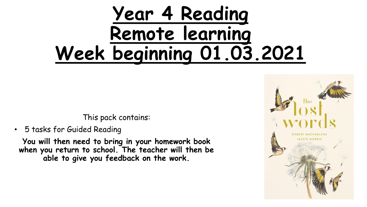# **Year 4 Reading Remote learning Week beginning 01.03.2021**

This pack contains:

• 5 tasks for Guided Reading

**You will then need to bring in your homework book when you return to school. The teacher will then be able to give you feedback on the work.** 

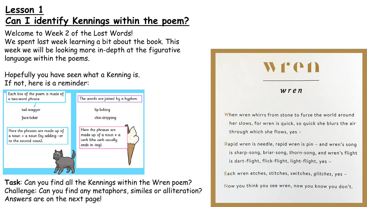# **Lesson 1 Can I identify Kennings within the poem?**

Welcome to Week 2 of the Lost Words! We spent last week learning a bit about the book. This week we will be looking more in-depth at the figurative language within the poems.

Hopefully you have seen what a Kenning is. If not, here is a reminder:



**Task**: Can you find all the Kennings within the Wren poem? Challenge: Can you find any metaphors, similes or alliteration? Answers are on the next page!



Now you think you see wren, now you know you don't.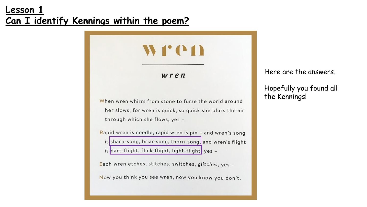# **Lesson 1 Can I identify Kennings within the poem?**

wren

WFCD

When wren whirrs from stone to furze the world around her slows, for wren is quick, so quick she blurs the air through which she flows, yes -

Rapid wren is needle, rapid wren is  $pin - and wren's song$ is sharp-song, briar-song, thorn-song, and wren's flight is dart-flight, flick-flight, light-flight yes -

Each wren etches, stitches, switches, glitches, yes -

Now you think you see wren, now you know you don't.

Here are the answers.

Hopefully you found all the Kennings!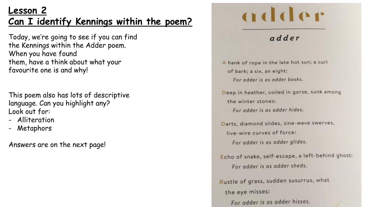# **Lesson 2 Can I identify Kennings within the poem?**

Today, we're going to see if you can find the Kennings within the Adder poem. When you have found them, have a think about what your favourite one is and why!

This poem also has lots of descriptive language. Can you highlight any? Look out for:

- Alliteration
- Metaphors

Answers are on the next page!

# adder

#### adder

A hank of rope in the late hot sun; a curl of bark; a six, an eight: For adder is as adder basks.

Deep in heather, coiled in gorse, sunk among the winter stones:

For adder is as adder hides.

Darts, diamond slides, sine-wave swerves, live-wire curves of force:

For adder is as adder glides.

Echo of snake, self-escape, a left-behind ghost: For adder is as adder sheds.

Rustle of grass, sudden susurrus, what the eye misses:

For adder is as adder hisses.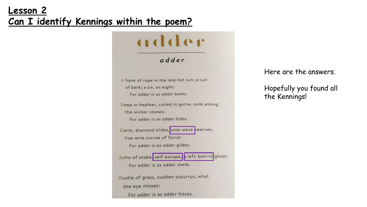# **Lesson 2 Can I identify Kennings within the poem?**

#### adder adder A hank of rope in the late hot sun; a curl of bark; a six, an eight: For adder is as adder basks. Deep in heather, coiled in gorse, sunk among the winter stones: For adder is as adder hides. Darts, diamond slides, sine-wave swerves, live-wire curves of force: For adder is as adder glides. Echo of snake, self-escape, a left-behind ghost: For adder is as adder sheds. Rustle of grass, sudden susurrus, what the eye misses: For adder is as adder hisses.

Here are the answers.

Hopefully you found all the Kennings!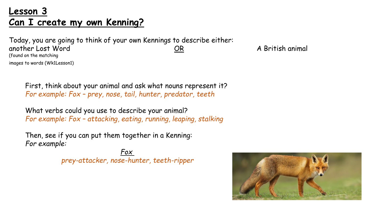# **Lesson 3 Can I create my own Kenning?**

Today, you are going to think of your own Kennings to describe either: another Lost Word **COR** A British animal (found on the matching images to words (Wk1Lesson1)

First, think about your animal and ask what nouns represent it? *For example: Fox – prey, nose, tail, hunter, predator, teeth*

What verbs could you use to describe your animal? *For example: Fox – attacking, eating, running, leaping, stalking*

Then, see if you can put them together in a Kenning: *For example:* 

> *Fox prey-attacker, nose-hunter, teeth-ripper*

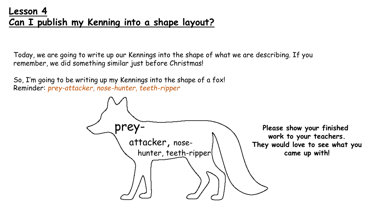Today, we are going to write up our Kennings into the shape of what we are describing. If you remember, we did something similar just before Christmas!

So, I'm going to be writing up my Kennings into the shape of a fox! Reminder: *prey-attacker, nose-hunter, teeth-ripper*